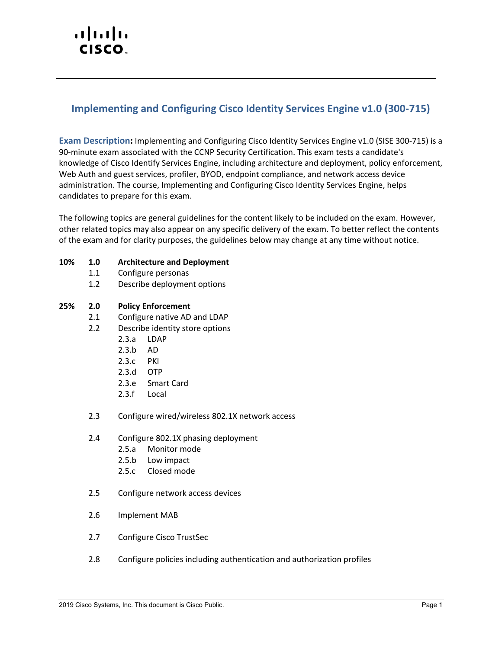# altalti CISCO.

# **Implementing and Configuring Cisco Identity Services Engine v1.0 (300-715)**

**Exam Description:** Implementing and Configuring Cisco Identity Services Engine v1.0 (SISE 300-715) is a 90-minute exam associated with the CCNP Security Certification. This exam tests a candidate's knowledge of Cisco Identify Services Engine, including architecture and deployment, policy enforcement, Web Auth and guest services, profiler, BYOD, endpoint compliance, and network access device administration. The course, Implementing and Configuring Cisco Identity Services Engine, helps candidates to prepare for this exam.

The following topics are general guidelines for the content likely to be included on the exam. However, other related topics may also appear on any specific delivery of the exam. To better reflect the contents of the exam and for clarity purposes, the guidelines below may change at any time without notice.

- **10% 1.0 Architecture and Deployment**
	- 1.1 Configure personas
	- 1.2 Describe deployment options

#### **25% 2.0 Policy Enforcement**

- 2.1 Configure native AD and LDAP
- 2.2 Describe identity store options
	- 2.3.a LDAP
	- 2.3.b AD
	- 2.3.c PKI
	- 2.3.d OTP
	- 2.3.e Smart Card
	- 2.3.f Local
- 2.3 Configure wired/wireless 802.1X network access
- 2.4 Configure 802.1X phasing deployment
	- 2.5.a Monitor mode
	- 2.5.b Low impact
	- 2.5.c Closed mode
- 2.5 Configure network access devices
- 2.6 Implement MAB
- 2.7 Configure Cisco TrustSec
- 2.8 Configure policies including authentication and authorization profiles